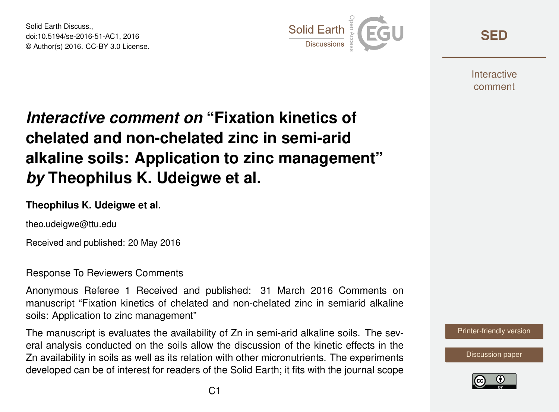Solid Earth Discuss., doi:10.5194/se-2016-51-AC1, 2016 © Author(s) 2016. CC-BY 3.0 License.



**[SED](http://www.solid-earth-discuss.net/)**

**Interactive** comment

# *Interactive comment on* **"Fixation kinetics of chelated and non-chelated zinc in semi-arid alkaline soils: Application to zinc management"** *by* **Theophilus K. Udeigwe et al.**

### **Theophilus K. Udeigwe et al.**

theo.udeigwe@ttu.edu

Received and published: 20 May 2016

### Response To Reviewers Comments

Anonymous Referee 1 Received and published: 31 March 2016 Comments on manuscript "Fixation kinetics of chelated and non-chelated zinc in semiarid alkaline soils: Application to zinc management"

The manuscript is evaluates the availability of Zn in semi-arid alkaline soils. The several analysis conducted on the soils allow the discussion of the kinetic effects in the Zn availability in soils as well as its relation with other micronutrients. The experiments developed can be of interest for readers of the Solid Earth; it fits with the journal scope



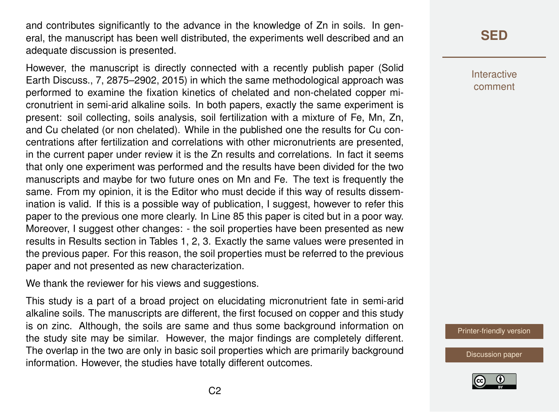and contributes significantly to the advance in the knowledge of Zn in soils. In general, the manuscript has been well distributed, the experiments well described and an adequate discussion is presented.

However, the manuscript is directly connected with a recently publish paper (Solid Earth Discuss., 7, 2875–2902, 2015) in which the same methodological approach was performed to examine the fixation kinetics of chelated and non-chelated copper micronutrient in semi-arid alkaline soils. In both papers, exactly the same experiment is present: soil collecting, soils analysis, soil fertilization with a mixture of Fe, Mn, Zn, and Cu chelated (or non chelated). While in the published one the results for Cu concentrations after fertilization and correlations with other micronutrients are presented, in the current paper under review it is the Zn results and correlations. In fact it seems that only one experiment was performed and the results have been divided for the two manuscripts and maybe for two future ones on Mn and Fe. The text is frequently the same. From my opinion, it is the Editor who must decide if this way of results dissemination is valid. If this is a possible way of publication, I suggest, however to refer this paper to the previous one more clearly. In Line 85 this paper is cited but in a poor way. Moreover, I suggest other changes: - the soil properties have been presented as new results in Results section in Tables 1, 2, 3. Exactly the same values were presented in the previous paper. For this reason, the soil properties must be referred to the previous paper and not presented as new characterization.

We thank the reviewer for his views and suggestions.

This study is a part of a broad project on elucidating micronutrient fate in semi-arid alkaline soils. The manuscripts are different, the first focused on copper and this study is on zinc. Although, the soils are same and thus some background information on the study site may be similar. However, the major findings are completely different. The overlap in the two are only in basic soil properties which are primarily background information. However, the studies have totally different outcomes.

**[SED](http://www.solid-earth-discuss.net/)**

Interactive comment

[Printer-friendly version](http://www.solid-earth-discuss.net/se-2016-51/se-2016-51-AC1-print.pdf)

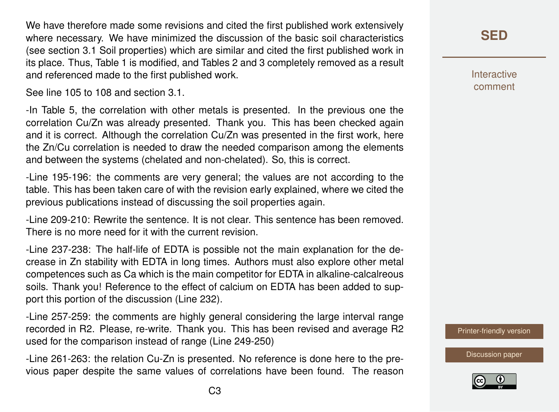We have therefore made some revisions and cited the first published work extensively where necessary. We have minimized the discussion of the basic soil characteristics (see section 3.1 Soil properties) which are similar and cited the first published work in its place. Thus, Table 1 is modified, and Tables 2 and 3 completely removed as a result and referenced made to the first published work.

See line 105 to 108 and section 3.1.

-In Table 5, the correlation with other metals is presented. In the previous one the correlation Cu/Zn was already presented. Thank you. This has been checked again and it is correct. Although the correlation Cu/Zn was presented in the first work, here the Zn/Cu correlation is needed to draw the needed comparison among the elements and between the systems (chelated and non-chelated). So, this is correct.

-Line 195-196: the comments are very general; the values are not according to the table. This has been taken care of with the revision early explained, where we cited the previous publications instead of discussing the soil properties again.

-Line 209-210: Rewrite the sentence. It is not clear. This sentence has been removed. There is no more need for it with the current revision.

-Line 237-238: The half-life of EDTA is possible not the main explanation for the decrease in Zn stability with EDTA in long times. Authors must also explore other metal competences such as Ca which is the main competitor for EDTA in alkaline-calcalreous soils. Thank you! Reference to the effect of calcium on EDTA has been added to support this portion of the discussion (Line 232).

-Line 257-259: the comments are highly general considering the large interval range recorded in R2. Please, re-write. Thank you. This has been revised and average R2 used for the comparison instead of range (Line 249-250)

-Line 261-263: the relation Cu-Zn is presented. No reference is done here to the previous paper despite the same values of correlations have been found. The reason **Interactive** comment

[Printer-friendly version](http://www.solid-earth-discuss.net/se-2016-51/se-2016-51-AC1-print.pdf)

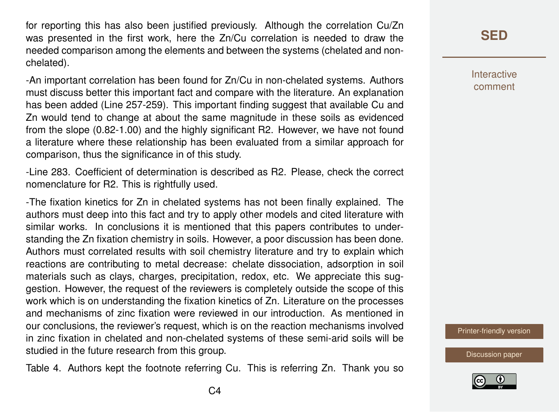for reporting this has also been justified previously. Although the correlation Cu/Zn was presented in the first work, here the Zn/Cu correlation is needed to draw the needed comparison among the elements and between the systems (chelated and nonchelated).

-An important correlation has been found for Zn/Cu in non-chelated systems. Authors must discuss better this important fact and compare with the literature. An explanation has been added (Line 257-259). This important finding suggest that available Cu and Zn would tend to change at about the same magnitude in these soils as evidenced from the slope (0.82-1.00) and the highly significant R2. However, we have not found a literature where these relationship has been evaluated from a similar approach for comparison, thus the significance in of this study.

-Line 283. Coefficient of determination is described as R2. Please, check the correct nomenclature for R2. This is rightfully used.

-The fixation kinetics for Zn in chelated systems has not been finally explained. The authors must deep into this fact and try to apply other models and cited literature with similar works. In conclusions it is mentioned that this papers contributes to understanding the Zn fixation chemistry in soils. However, a poor discussion has been done. Authors must correlated results with soil chemistry literature and try to explain which reactions are contributing to metal decrease: chelate dissociation, adsorption in soil materials such as clays, charges, precipitation, redox, etc. We appreciate this suggestion. However, the request of the reviewers is completely outside the scope of this work which is on understanding the fixation kinetics of Zn. Literature on the processes and mechanisms of zinc fixation were reviewed in our introduction. As mentioned in our conclusions, the reviewer's request, which is on the reaction mechanisms involved in zinc fixation in chelated and non-chelated systems of these semi-arid soils will be studied in the future research from this group.

Table 4. Authors kept the footnote referring Cu. This is referring Zn. Thank you so

# **[SED](http://www.solid-earth-discuss.net/)**

Interactive comment

[Printer-friendly version](http://www.solid-earth-discuss.net/se-2016-51/se-2016-51-AC1-print.pdf)

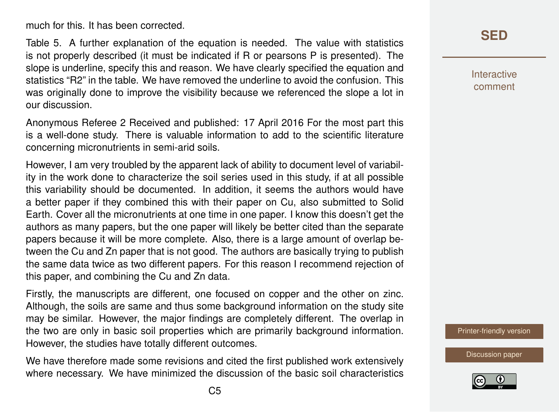much for this. It has been corrected.

Table 5. A further explanation of the equation is needed. The value with statistics is not properly described (it must be indicated if R or pearsons P is presented). The slope is underline, specify this and reason. We have clearly specified the equation and statistics "R2" in the table. We have removed the underline to avoid the confusion. This was originally done to improve the visibility because we referenced the slope a lot in our discussion.

Anonymous Referee 2 Received and published: 17 April 2016 For the most part this is a well-done study. There is valuable information to add to the scientific literature concerning micronutrients in semi-arid soils.

However, I am very troubled by the apparent lack of ability to document level of variability in the work done to characterize the soil series used in this study, if at all possible this variability should be documented. In addition, it seems the authors would have a better paper if they combined this with their paper on Cu, also submitted to Solid Earth. Cover all the micronutrients at one time in one paper. I know this doesn't get the authors as many papers, but the one paper will likely be better cited than the separate papers because it will be more complete. Also, there is a large amount of overlap between the Cu and Zn paper that is not good. The authors are basically trying to publish the same data twice as two different papers. For this reason I recommend rejection of this paper, and combining the Cu and Zn data.

Firstly, the manuscripts are different, one focused on copper and the other on zinc. Although, the soils are same and thus some background information on the study site may be similar. However, the major findings are completely different. The overlap in the two are only in basic soil properties which are primarily background information. However, the studies have totally different outcomes.

We have therefore made some revisions and cited the first published work extensively where necessary. We have minimized the discussion of the basic soil characteristics **[SED](http://www.solid-earth-discuss.net/)**

**Interactive** comment

[Printer-friendly version](http://www.solid-earth-discuss.net/se-2016-51/se-2016-51-AC1-print.pdf)

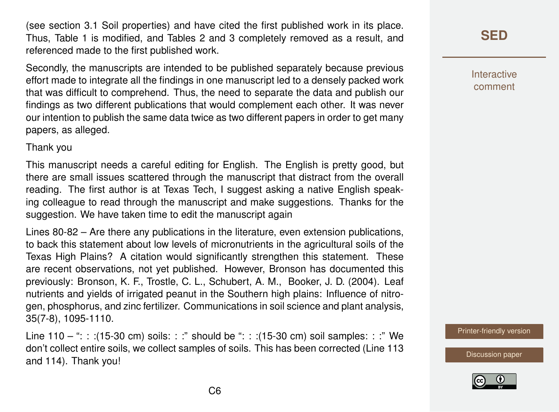(see section 3.1 Soil properties) and have cited the first published work in its place. Thus, Table 1 is modified, and Tables 2 and 3 completely removed as a result, and referenced made to the first published work.

Secondly, the manuscripts are intended to be published separately because previous effort made to integrate all the findings in one manuscript led to a densely packed work that was difficult to comprehend. Thus, the need to separate the data and publish our findings as two different publications that would complement each other. It was never our intention to publish the same data twice as two different papers in order to get many papers, as alleged.

#### Thank you

This manuscript needs a careful editing for English. The English is pretty good, but there are small issues scattered through the manuscript that distract from the overall reading. The first author is at Texas Tech, I suggest asking a native English speaking colleague to read through the manuscript and make suggestions. Thanks for the suggestion. We have taken time to edit the manuscript again

Lines 80-82 – Are there any publications in the literature, even extension publications, to back this statement about low levels of micronutrients in the agricultural soils of the Texas High Plains? A citation would significantly strengthen this statement. These are recent observations, not yet published. However, Bronson has documented this previously: Bronson, K. F., Trostle, C. L., Schubert, A. M., Booker, J. D. (2004). Leaf nutrients and yields of irrigated peanut in the Southern high plains: Influence of nitrogen, phosphorus, and zinc fertilizer. Communications in soil science and plant analysis, 35(7-8), 1095-1110.

Line 110 – ": : :(15-30 cm) soils: : :" should be ": : :(15-30 cm) soil samples: : :" We don't collect entire soils, we collect samples of soils. This has been corrected (Line 113 and 114). Thank you!

# **[SED](http://www.solid-earth-discuss.net/)**

**Interactive** comment

[Printer-friendly version](http://www.solid-earth-discuss.net/se-2016-51/se-2016-51-AC1-print.pdf)

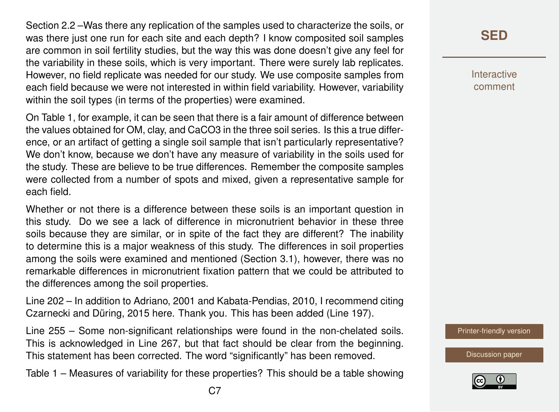Section 2.2 –Was there any replication of the samples used to characterize the soils, or was there just one run for each site and each depth? I know composited soil samples are common in soil fertility studies, but the way this was done doesn't give any feel for the variability in these soils, which is very important. There were surely lab replicates. However, no field replicate was needed for our study. We use composite samples from each field because we were not interested in within field variability. However, variability within the soil types (in terms of the properties) were examined.

On Table 1, for example, it can be seen that there is a fair amount of difference between the values obtained for OM, clay, and CaCO3 in the three soil series. Is this a true difference, or an artifact of getting a single soil sample that isn't particularly representative? We don't know, because we don't have any measure of variability in the soils used for the study. These are believe to be true differences. Remember the composite samples were collected from a number of spots and mixed, given a representative sample for each field.

Whether or not there is a difference between these soils is an important question in this study. Do we see a lack of difference in micronutrient behavior in these three soils because they are similar, or in spite of the fact they are different? The inability to determine this is a major weakness of this study. The differences in soil properties among the soils were examined and mentioned (Section 3.1), however, there was no remarkable differences in micronutrient fixation pattern that we could be attributed to the differences among the soil properties.

Line 202 – In addition to Adriano, 2001 and Kabata-Pendias, 2010, I recommend citing Czarnecki and Düring, 2015 here. Thank you. This has been added (Line 197).

Line 255 – Some non-significant relationships were found in the non-chelated soils. This is acknowledged in Line 267, but that fact should be clear from the beginning. This statement has been corrected. The word "significantly" has been removed.

Table 1 – Measures of variability for these properties? This should be a table showing

**Interactive** comment

[Printer-friendly version](http://www.solid-earth-discuss.net/se-2016-51/se-2016-51-AC1-print.pdf)

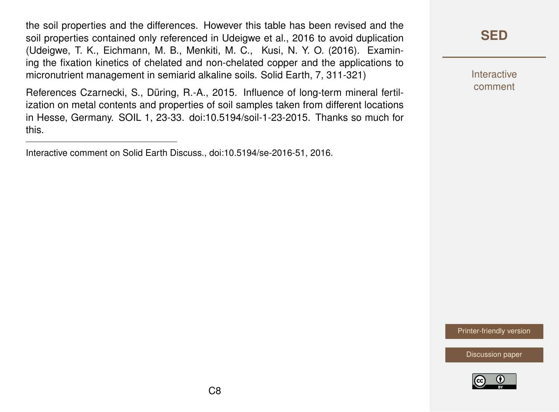the soil properties and the differences. However this table has been revised and the soil properties contained only referenced in Udeigwe et al., 2016 to avoid duplication (Udeigwe, T. K., Eichmann, M. B., Menkiti, M. C., Kusi, N. Y. O. (2016). Examining the fixation kinetics of chelated and non-chelated copper and the applications to micronutrient management in semiarid alkaline soils. Solid Earth, 7, 311-321)

References Czarnecki, S., Düring, R.-A., 2015. Influence of long-term mineral fertilization on metal contents and properties of soil samples taken from different locations in Hesse, Germany. SOIL 1, 23-33. doi:10.5194/soil-1-23-2015. Thanks so much for this.

Interactive comment on Solid Earth Discuss., doi:10.5194/se-2016-51, 2016.

### **[SED](http://www.solid-earth-discuss.net/)**

Interactive comment

[Printer-friendly version](http://www.solid-earth-discuss.net/se-2016-51/se-2016-51-AC1-print.pdf)